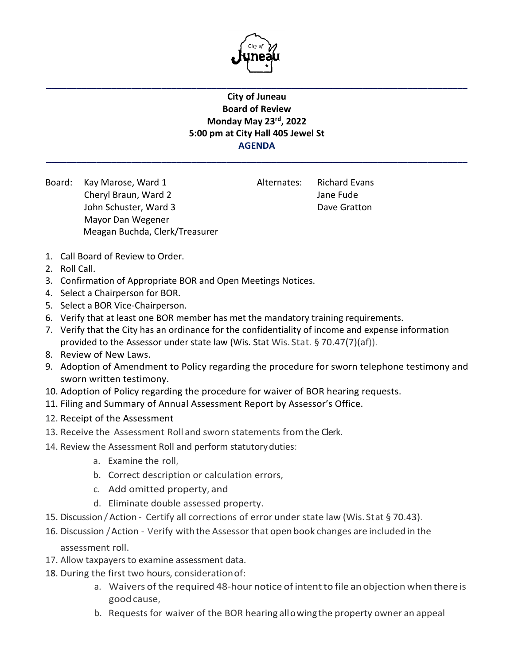

**\_\_\_\_\_\_\_\_\_\_\_\_\_\_\_\_\_\_\_\_\_\_\_\_\_\_\_\_\_\_\_\_\_\_\_\_\_\_\_\_\_\_\_\_\_\_\_\_\_\_\_\_\_\_\_\_\_\_\_\_\_\_\_\_\_\_\_\_\_\_\_\_\_\_\_\_\_\_\_\_\_\_\_\_**

## **City of Juneau Board of Review Monday May 23rd, 2022 5:00 pm at City Hall 405 Jewel St AGENDA**

**\_\_\_\_\_\_\_\_\_\_\_\_\_\_\_\_\_\_\_\_\_\_\_\_\_\_\_\_\_\_\_\_\_\_\_\_\_\_\_\_\_\_\_\_\_\_\_\_\_\_\_\_\_\_\_\_\_\_\_\_\_\_\_\_\_\_\_\_\_\_\_\_\_\_\_\_\_\_\_\_\_\_\_\_**

Board: Kay Marose, Ward 1 Alternates: Richard Evans Cheryl Braun, Ward 2 Jane Fude John Schuster, Ward 3 Dave Gratton Mayor Dan Wegener Meagan Buchda, Clerk/Treasurer

- 1. Call Board of Review to Order.
- 2. Roll Call.
- 3. Confirmation of Appropriate BOR and Open Meetings Notices.
- 4. Select a Chairperson for BOR.
- 5. Select a BOR Vice-Chairperson.
- 6. Verify that at least one BOR member has met the mandatory training requirements.
- 7. Verify that the City has an ordinance for the confidentiality of income and expense information provided to the Assessor under state law (Wis. Stat Wis. Stat. § 70.47(7)(af)).
- 8. Review of New Laws.
- 9. Adoption of Amendment to Policy regarding the procedure for sworn telephone testimony and sworn written testimony.
- 10. Adoption of Policy regarding the procedure for waiver of BOR hearing requests.
- 11. Filing and Summary of Annual Assessment Report by Assessor's Office.
- 12. Receipt of the Assessment
- 13. Receive the Assessment Roll and sworn statements from the Clerk.
- 14. Review the Assessment Roll and perform statutoryduties:
	- a. Examine the roll,
	- b. Correct description or calculation errors,
	- c. Add omitted property, and
	- d. Eliminate double assessed property.
- 15. Discussion/Action Certify all corrections of error under state law (Wis. Stat § 70.43).
- 16. Discussion /Action Verify withthe Assessorthat open book changes are included in the assessment roll.
- 17. Allow taxpayers to examine assessment data.
- 18. During the first two hours, considerationof:
	- a. Waivers of the required 48-hour notice of intentto file an objection whenthereis goodcause,
	- b. Requests for waiver of the BOR hearing allowingthe property owner an appeal